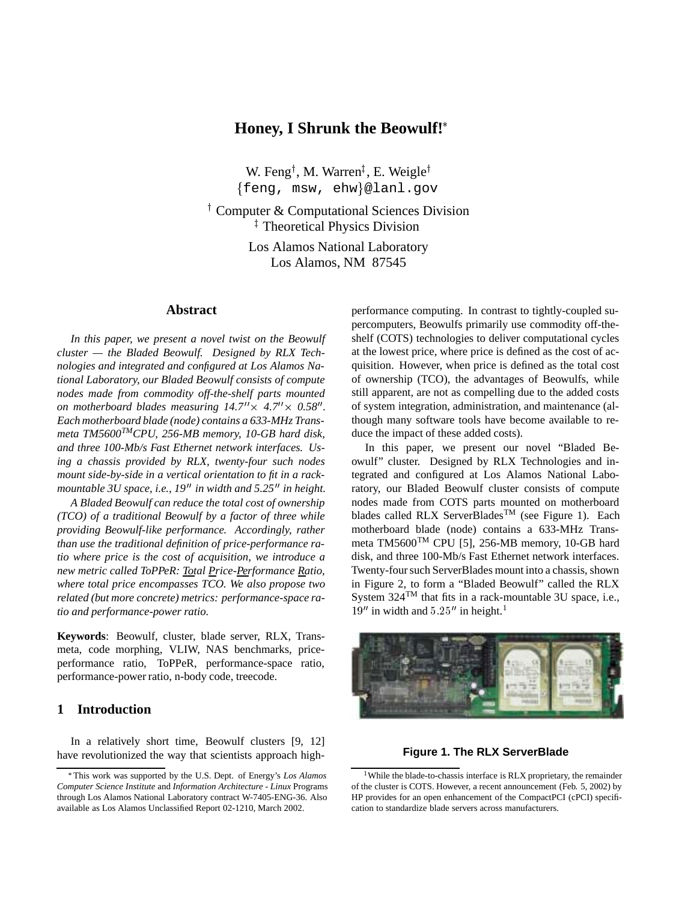# **Honey, I Shrunk the Beowulf!**

W. Feng<sup>†</sup>, M. Warren<sup>‡</sup>, E. Weigle<sup>†</sup>  $\{feng, msw, ehw\}$ @lanl.gov

<sup>†</sup> Computer & Computational Sciences Division <sup>‡</sup> Theoretical Physics Division

> Los Alamos National Laboratory Los Alamos, NM 87545

## **Abstract**

*In this paper, we present a novel twist on the Beowulf cluster — the Bladed Beowulf. Designed by RLX Technologies and integrated and configured at Los Alamos National Laboratory, our Bladed Beowulf consists of compute nodes made from commodity off-the-shelf parts mounted on motherboard blades measuring*  $14.7'' \times 4.7'' \times 0.58''$ *.* o *Each motherboard blade (node) contains a 633-MHz Transmeta TM5600TMCPU, 256-MB memory, 10-GB hard disk, and three 100-Mb/s Fast Ethernet network interfaces. Using a chassis provided by RLX, twenty-four such nodes mount side-by-side in a vertical orientation to fit in a rackmountable 3U space, i.e., 19" in width and 5.25" in height.* 

*A Bladed Beowulf can reduce the total cost of ownership (TCO) of a traditional Beowulf by a factor of three while providing Beowulf-like performance. Accordingly, rather than use the traditional definition of price-performance ratio where price is the cost of acquisition, we introduce a new metric called ToPPeR: Total Price-Performance Ratio, where total price encompasses TCO. We also propose two related (but more concrete) metrics: performance-space ratio and performance-power ratio.*

**Keywords**: Beowulf, cluster, blade server, RLX, Transmeta, code morphing, VLIW, NAS benchmarks, priceperformance ratio, ToPPeR, performance-space ratio, performance-power ratio, n-body code, treecode.

## **1 Introduction**

In a relatively short time, Beowulf clusters [9, 12] have revolutionized the way that scientists approach highperformance computing. In contrast to tightly-coupled supercomputers, Beowulfs primarily use commodity off-theshelf (COTS) technologies to deliver computational cycles at the lowest price, where price is defined as the cost of acquisition. However, when price is defined as the total cost of ownership (TCO), the advantages of Beowulfs, while still apparent, are not as compelling due to the added costs of system integration, administration, and maintenance (although many software tools have become available to reduce the impact of these added costs).

In this paper, we present our novel "Bladed Beowulf" cluster. Designed by RLX Technologies and integrated and configured at Los Alamos National Laboratory, our Bladed Beowulf cluster consists of compute nodes made from COTS parts mounted on motherboard blades called RLX ServerBlades<sup>TM</sup> (see Figure 1). Each motherboard blade (node) contains a 633-MHz Transmeta TM5600TM CPU [5], 256-MB memory, 10-GB hard disk, and three 100-Mb/s Fast Ethernet network interfaces. Twenty-four such ServerBlades mount into a chassis, shown in Figure 2, to form a "Bladed Beowulf" called the RLX System  $324^{TM}$  that fits in a rack-mountable 3U space, i.e.,  $19''$  in width and  $5.25''$  in height.<sup>1</sup>



## **Figure 1. The RLX ServerBlade**

This work was supported by the U.S. Dept. of Energy's *Los Alamos Computer Science Institute* and *Information Architecture - Linux* Programs through Los Alamos National Laboratory contract W-7405-ENG-36. Also available as Los Alamos Unclassified Report 02-1210, March 2002.

<sup>&</sup>lt;sup>1</sup>While the blade-to-chassis interface is RLX proprietary, the remainder of the cluster is COTS. However, a recent announcement (Feb. 5, 2002) by HP provides for an open enhancement of the CompactPCI (cPCI) specification to standardize blade servers across manufacturers.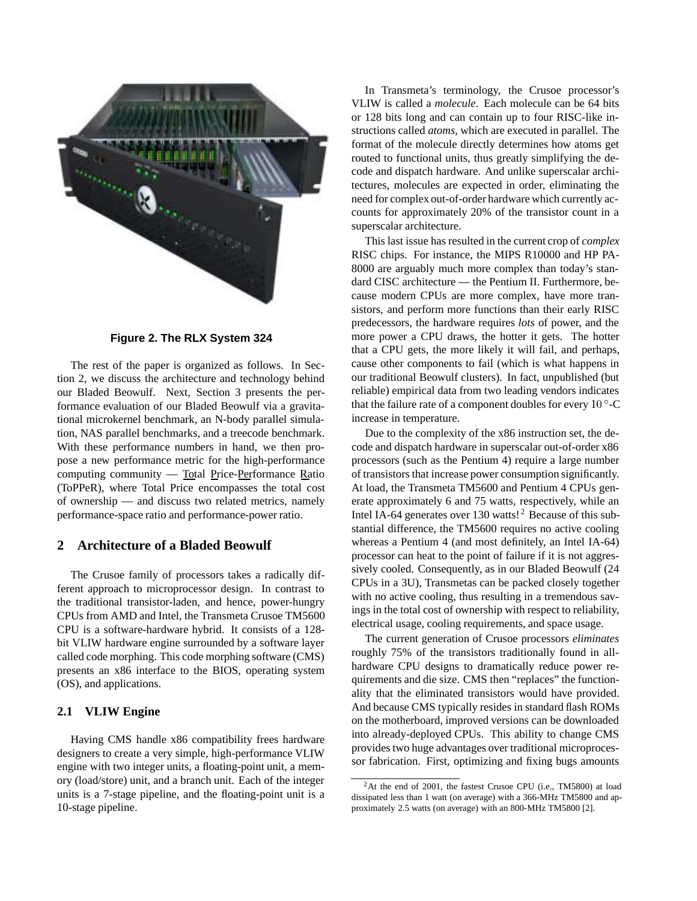

**Figure 2. The RLX System 324**

The rest of the paper is organized as follows. In Section 2, we discuss the architecture and technology behind our Bladed Beowulf. Next, Section 3 presents the performance evaluation of our Bladed Beowulf via a gravitational microkernel benchmark, an N-body parallel simulation, NAS parallel benchmarks, and a treecode benchmark. With these performance numbers in hand, we then propose a new performance metric for the high-performance computing community — Total Price-Performance Ratio (ToPPeR), where Total Price encompasses the total cost of ownership — and discuss two related metrics, namely performance-space ratio and performance-power ratio.

## **2 Architecture of a Bladed Beowulf**

The Crusoe family of processors takes a radically different approach to microprocessor design. In contrast to the traditional transistor-laden, and hence, power-hungry CPUs from AMD and Intel, the Transmeta Crusoe TM5600 CPU is a software-hardware hybrid. It consists of a 128 bit VLIW hardware engine surrounded by a software layer called code morphing. This code morphing software (CMS) presents an x86 interface to the BIOS, operating system (OS), and applications.

## **2.1 VLIW Engine**

Having CMS handle x86 compatibility frees hardware designers to create a very simple, high-performance VLIW engine with two integer units, a floating-point unit, a memory (load/store) unit, and a branch unit. Each of the integer units is a 7-stage pipeline, and the floating-point unit is a 10-stage pipeline.

In Transmeta's terminology, the Crusoe processor's VLIW is called a *molecule*. Each molecule can be 64 bits or 128 bits long and can contain up to four RISC-like instructions called *atoms*, which are executed in parallel. The format of the molecule directly determines how atoms get routed to functional units, thus greatly simplifying the decode and dispatch hardware. And unlike superscalar architectures, molecules are expected in order, eliminating the need for complex out-of-order hardware which currently accounts for approximately 20% of the transistor count in a superscalar architecture.

This last issue has resulted in the current crop of *complex* RISC chips. For instance, the MIPS R10000 and HP PA-8000 are arguably much more complex than today's standard CISC architecture — the Pentium II. Furthermore, because modern CPUs are more complex, have more transistors, and perform more functions than their early RISC predecessors, the hardware requires *lots* of power, and the more power a CPU draws, the hotter it gets. The hotter that a CPU gets, the more likely it will fail, and perhaps, cause other components to fail (which is what happens in our traditional Beowulf clusters). In fact, unpublished (but reliable) empirical data from two leading vendors indicates that the failure rate of a component doubles for every  $10^{\circ}$ -C increase in temperature.

Due to the complexity of the x86 instruction set, the decode and dispatch hardware in superscalar out-of-order x86 processors (such as the Pentium 4) require a large number of transistors that increase power consumption significantly. At load, the Transmeta TM5600 and Pentium 4 CPUs generate approximately 6 and 75 watts, respectively, while an Intel IA-64 generates over  $130 \text{ watts}$ <sup>2</sup> Because of this substantial difference, the TM5600 requires no active cooling whereas a Pentium 4 (and most definitely, an Intel IA-64) processor can heat to the point of failure if it is not aggressively cooled. Consequently, as in our Bladed Beowulf (24 CPUs in a 3U), Transmetas can be packed closely together with no active cooling, thus resulting in a tremendous savings in the total cost of ownership with respect to reliability, electrical usage, cooling requirements, and space usage.

The current generation of Crusoe processors *eliminates* roughly 75% of the transistors traditionally found in allhardware CPU designs to dramatically reduce power requirements and die size. CMS then "replaces" the functionality that the eliminated transistors would have provided. And because CMS typically resides in standard flash ROMs on the motherboard, improved versions can be downloaded into already-deployed CPUs. This ability to change CMS provides two huge advantages over traditional microprocessor fabrication. First, optimizing and fixing bugs amounts

<sup>&</sup>lt;sup>2</sup>At the end of 2001, the fastest Crusoe CPU (i.e., TM5800) at load dissipated less than 1 watt (on average) with a 366-MHz TM5800 and approximately 2.5 watts (on average) with an 800-MHz TM5800 [2].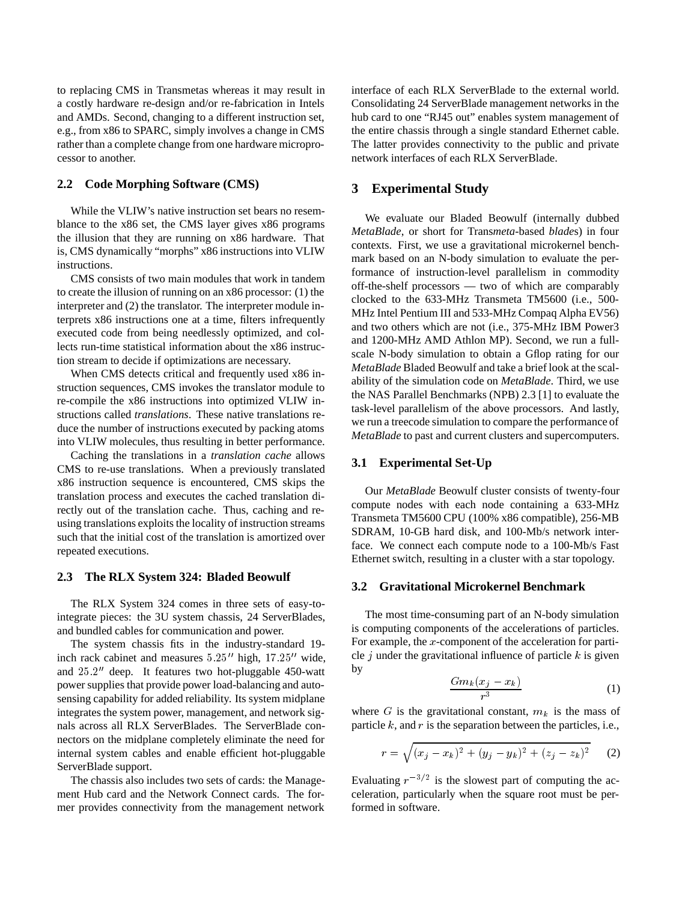to replacing CMS in Transmetas whereas it may result in a costly hardware re-design and/or re-fabrication in Intels and AMDs. Second, changing to a different instruction set, e.g., from x86 to SPARC, simply involves a change in CMS rather than a complete change from one hardware microprocessor to another.

#### **2.2 Code Morphing Software (CMS)**

While the VLIW's native instruction set bears no resemblance to the x86 set, the CMS layer gives x86 programs the illusion that they are running on x86 hardware. That is, CMS dynamically "morphs" x86 instructions into VLIW instructions.

CMS consists of two main modules that work in tandem to create the illusion of running on an x86 processor: (1) the interpreter and (2) the translator. The interpreter module interprets x86 instructions one at a time, filters infrequently executed code from being needlessly optimized, and collects run-time statistical information about the x86 instruction stream to decide if optimizations are necessary.

When CMS detects critical and frequently used x86 instruction sequences, CMS invokes the translator module to re-compile the x86 instructions into optimized VLIW instructions called *translations*. These native translations reduce the number of instructions executed by packing atoms into VLIW molecules, thus resulting in better performance.

Caching the translations in a *translation cache* allows CMS to re-use translations. When a previously translated x86 instruction sequence is encountered, CMS skips the translation process and executes the cached translation directly out of the translation cache. Thus, caching and reusing translations exploits the locality of instruction streams such that the initial cost of the translation is amortized over repeated executions.

## **2.3 The RLX System 324: Bladed Beowulf**

The RLX System 324 comes in three sets of easy-tointegrate pieces: the 3U system chassis, 24 ServerBlades, and bundled cables for communication and power.

The system chassis fits in the industry-standard 19 inch rack cabinet and measures  $5.25''$  high,  $17.25''$  wide, and  $25.2$ " deep. It features two hot-pluggable 450-watt power supplies that provide power load-balancing and autosensing capability for added reliability. Its system midplane integrates the system power, management, and network signals across all RLX ServerBlades. The ServerBlade connectors on the midplane completely eliminate the need for internal system cables and enable efficient hot-pluggable ServerBlade support.

The chassis also includes two sets of cards: the Management Hub card and the Network Connect cards. The former provides connectivity from the management network interface of each RLX ServerBlade to the external world. Consolidating 24 ServerBlade management networks in the hub card to one "RJ45 out" enables system management of the entire chassis through a single standard Ethernet cable. The latter provides connectivity to the public and private network interfaces of each RLX ServerBlade.

## **3 Experimental Study**

We evaluate our Bladed Beowulf (internally dubbed *MetaBlade*, or short for Trans*meta*-based *blade*s) in four contexts. First, we use a gravitational microkernel benchmark based on an N-body simulation to evaluate the performance of instruction-level parallelism in commodity off-the-shelf processors — two of which are comparably clocked to the 633-MHz Transmeta TM5600 (i.e., 500- MHz Intel Pentium III and 533-MHz Compaq Alpha EV56) and two others which are not (i.e., 375-MHz IBM Power3 and 1200-MHz AMD Athlon MP). Second, we run a fullscale N-body simulation to obtain a Gflop rating for our *MetaBlade* Bladed Beowulf and take a brief look at the scalability of the simulation code on *MetaBlade*. Third, we use the NAS Parallel Benchmarks (NPB) 2.3 [1] to evaluate the task-level parallelism of the above processors. And lastly, we run a treecode simulation to compare the performance of *MetaBlade* to past and current clusters and supercomputers.

## **3.1 Experimental Set-Up**

Our *MetaBlade* Beowulf cluster consists of twenty-four compute nodes with each node containing a 633-MHz Transmeta TM5600 CPU (100% x86 compatible), 256-MB SDRAM, 10-GB hard disk, and 100-Mb/s network interface. We connect each compute node to a 100-Mb/s Fast Ethernet switch, resulting in a cluster with a star topology.

#### **3.2 Gravitational Microkernel Benchmark**

The most time-consuming part of an N-body simulation is computing components of the accelerations of particles. For example, the <sup>x</sup>-component of the acceleration for particle  $j$  under the gravitational influence of particle  $k$  is given by

$$
\frac{Gm_k(x_j - x_k)}{r^3} \tag{1}
$$

where G is the gravitational constant,  $m_k$  is the mass of particle  $k$ , and  $r$  is the separation between the particles, i.e.,

$$
r = \sqrt{(x_j - x_k)^2 + (y_j - y_k)^2 + (z_j - z_k)^2}
$$
 (2)

Evaluating  $r^{-3/2}$  is the slowest part of computing the acceleration, particularly when the square root must be performed in software.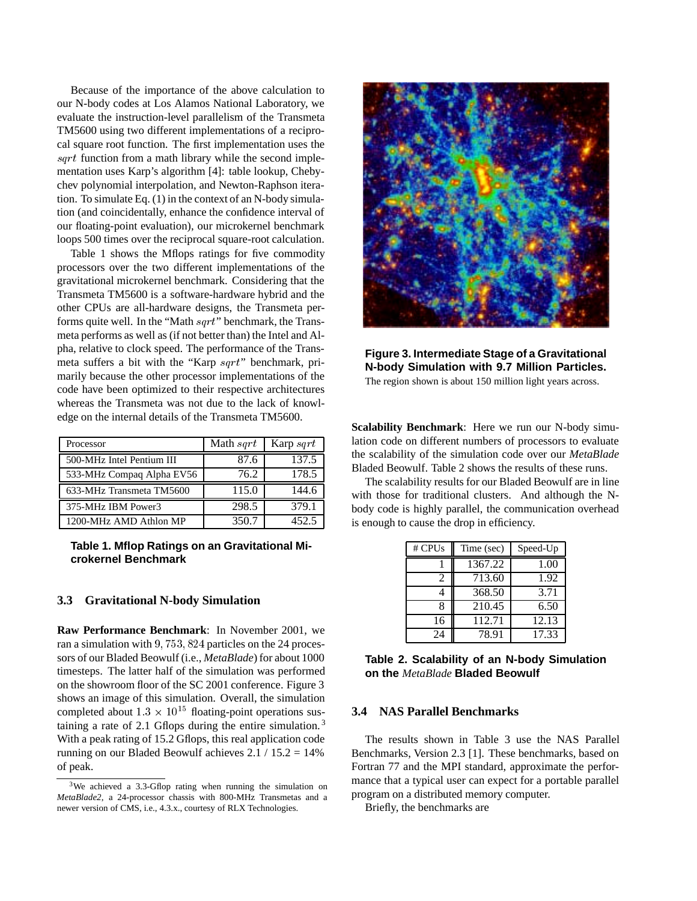Because of the importance of the above calculation to our N-body codes at Los Alamos National Laboratory, we evaluate the instruction-level parallelism of the Transmeta TM5600 using two different implementations of a reciprocal square root function. The first implementation uses the sqrt function from a math library while the second implementation uses Karp's algorithm [4]: table lookup, Chebychev polynomial interpolation, and Newton-Raphson iteration. To simulate Eq. (1) in the context of an N-body simulation (and coincidentally, enhance the confidence interval of our floating-point evaluation), our microkernel benchmark loops 500 times over the reciprocal square-root calculation.

Table 1 shows the Mflops ratings for five commodity processors over the two different implementations of the gravitational microkernel benchmark. Considering that the Transmeta TM5600 is a software-hardware hybrid and the other CPUs are all-hardware designs, the Transmeta performs quite well. In the "Math sqrt" benchmark, the Transmeta performs as well as (if not better than) the Intel and Alpha, relative to clock speed. The performance of the Transmeta suffers a bit with the "Karp sqrt" benchmark, primarily because the other processor implementations of the code have been optimized to their respective architectures whereas the Transmeta was not due to the lack of knowledge on the internal details of the Transmeta TM5600.

| Processor                 | Math s <i>art</i> | Karp $sqrt$ |  |
|---------------------------|-------------------|-------------|--|
| 500-MHz Intel Pentium III | 87.6              | 137.5       |  |
| 533-MHz Compaq Alpha EV56 | 76.2              | 178.5       |  |
| 633-MHz Transmeta TM5600  | 115.0             | 144.6       |  |
| 375-MHz IBM Power3        | 298.5             | 379.1       |  |
| 1200-MHz AMD Athlon MP    | 350.7             | 452.5       |  |

**Table 1. Mflop Ratings on an Gravitational Microkernel Benchmark**

## **3.3 Gravitational N-body Simulation**

**Raw Performance Benchmark**: In November 2001, we ran a simulation with 9, 753, 824 particles on the 24 processors of our Bladed Beowulf (i.e., *MetaBlade*) for about 1000 timesteps. The latter half of the simulation was performed on the showroom floor of the SC 2001 conference. Figure 3 shows an image of this simulation. Overall, the simulation completed about  $1.3 \times 10^{15}$  floating-point operations sustaining a rate of 2.1 Gflops during the entire simulation. <sup>3</sup> With a peak rating of 15.2 Gflops, this real application code running on our Bladed Beowulf achieves  $2.1 / 15.2 = 14\%$ of peak.



**Figure 3. Intermediate Stage of a Gravitational N-body Simulation with 9.7 Million Particles.** The region shown is about 150 million light years across.

**Scalability Benchmark**: Here we run our N-body simulation code on different numbers of processors to evaluate the scalability of the simulation code over our *MetaBlade* Bladed Beowulf. Table 2 shows the results of these runs.

The scalability results for our Bladed Beowulf are in line with those for traditional clusters. And although the Nbody code is highly parallel, the communication overhead is enough to cause the drop in efficiency.

| $#$ CPUs | Time (sec) | Speed-Up |
|----------|------------|----------|
|          | 1367.22    | 1.00     |
| 2        | 713.60     | 1.92     |
|          | 368.50     | 3.71     |
|          | 210.45     | 6.50     |
| 16       | 112.71     | 12.13    |
| 24       | 78.91      | 17.33    |

**Table 2. Scalability of an N-body Simulation on the** *MetaBlade* **Bladed Beowulf**

### **3.4 NAS Parallel Benchmarks**

The results shown in Table 3 use the NAS Parallel Benchmarks, Version 2.3 [1]. These benchmarks, based on Fortran 77 and the MPI standard, approximate the performance that a typical user can expect for a portable parallel program on a distributed memory computer.

Briefly, the benchmarks are

<sup>&</sup>lt;sup>3</sup>We achieved a 3.3-Gflop rating when running the simulation on *MetaBlade2*, a 24-processor chassis with 800-MHz Transmetas and a newer version of CMS, i.e., 4.3.x., courtesy of RLX Technologies.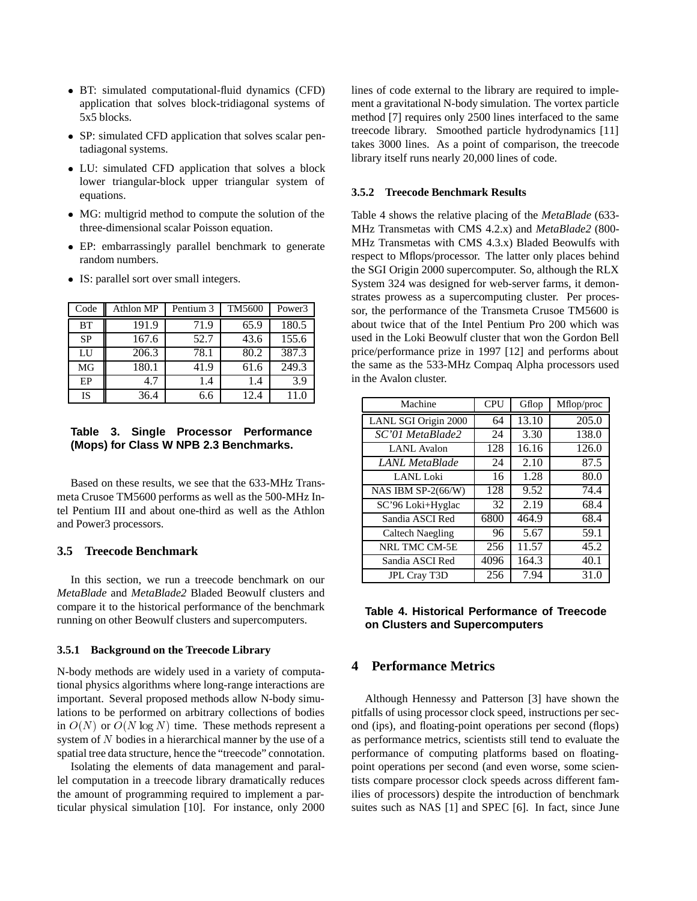- BT: simulated computational-fluid dynamics (CFD) application that solves block-tridiagonal systems of 5x5 blocks.
- SP: simulated CFD application that solves scalar pentadiagonal systems.
- LU: simulated CFD application that solves a block lower triangular-block upper triangular system of equations.
- MG: multigrid method to compute the solution of the three-dimensional scalar Poisson equation.
- EP: embarrassingly parallel benchmark to generate random numbers.
- IS: parallel sort over small integers.

| Code      | Athlon MP | Pentium 3 | TM5600 | Power3 |
|-----------|-----------|-----------|--------|--------|
| <b>BT</b> | 191.9     | 71.9      | 65.9   | 180.5  |
| <b>SP</b> | 167.6     | 52.7      | 43.6   | 155.6  |
| LI        | 206.3     | 78.1      | 80.2   | 387.3  |
| MG        | 180.1     | 41.9      | 61.6   | 249.3  |
| EP        | 4.7       | 1.4       | 1.4    | 3.9    |
| <b>IS</b> | 36.4      | 6.6       | 12.4   | 11.0   |

## **Table 3. Single Processor Performance (Mops) for Class W NPB 2.3 Benchmarks.**

Based on these results, we see that the 633-MHz Transmeta Crusoe TM5600 performs as well as the 500-MHz Intel Pentium III and about one-third as well as the Athlon and Power3 processors.

## **3.5 Treecode Benchmark**

In this section, we run a treecode benchmark on our *MetaBlade* and *MetaBlade2* Bladed Beowulf clusters and compare it to the historical performance of the benchmark running on other Beowulf clusters and supercomputers.

#### **3.5.1 Background on the Treecode Library**

N-body methods are widely used in a variety of computational physics algorithms where long-range interactions are important. Several proposed methods allow N-body simulations to be performed on arbitrary collections of bodies in  $O(N)$  or  $O(N \log N)$  time. These methods represent a system of <sup>N</sup> bodies in a hierarchical manner by the use of a spatial tree data structure, hence the "treecode" connotation.

Isolating the elements of data management and parallel computation in a treecode library dramatically reduces the amount of programming required to implement a particular physical simulation [10]. For instance, only 2000 lines of code external to the library are required to implement a gravitational N-body simulation. The vortex particle method [7] requires only 2500 lines interfaced to the same treecode library. Smoothed particle hydrodynamics [11] takes 3000 lines. As a point of comparison, the treecode library itself runs nearly 20,000 lines of code.

#### **3.5.2 Treecode Benchmark Results**

Table 4 shows the relative placing of the *MetaBlade* (633- MHz Transmetas with CMS 4.2.x) and *MetaBlade2* (800- MHz Transmetas with CMS 4.3.x) Bladed Beowulfs with respect to Mflops/processor. The latter only places behind the SGI Origin 2000 supercomputer. So, although the RLX System 324 was designed for web-server farms, it demonstrates prowess as a supercomputing cluster. Per processor, the performance of the Transmeta Crusoe TM5600 is about twice that of the Intel Pentium Pro 200 which was used in the Loki Beowulf cluster that won the Gordon Bell price/performance prize in 1997 [12] and performs about the same as the 533-MHz Compaq Alpha processors used in the Avalon cluster.

| Machine                 | <b>CPU</b> | Gflop | Mflop/proc |
|-------------------------|------------|-------|------------|
| LANL SGI Origin 2000    | 64         | 13.10 | 205.0      |
| SC'01 MetaBlade2        | 24         | 3.30  | 138.0      |
| LANL Avalon             | 128        | 16.16 | 126.0      |
| LANL MetaBlade          | 24         | 2.10  | 87.5       |
| LANL Loki               | 16         | 1.28  | 80.0       |
| NAS IBM SP-2(66/W)      | 128        | 9.52  | 74.4       |
| SC'96 Loki+Hyglac       | 32         | 2.19  | 68.4       |
| Sandia ASCI Red         | 6800       | 464.9 | 68.4       |
| <b>Caltech Naegling</b> | 96         | 5.67  | 59.1       |
| NRL TMC CM-5E           | 256        | 11.57 | 45.2       |
| Sandia ASCI Red         | 4096       | 164.3 | 40.1       |
| JPL Cray T3D            | 256        | 7.94  | 31.0       |

## **Table 4. Historical Performance of Treecode on Clusters and Supercomputers**

## **4 Performance Metrics**

Although Hennessy and Patterson [3] have shown the pitfalls of using processor clock speed, instructions per second (ips), and floating-point operations per second (flops) as performance metrics, scientists still tend to evaluate the performance of computing platforms based on floatingpoint operations per second (and even worse, some scientists compare processor clock speeds across different families of processors) despite the introduction of benchmark suites such as NAS [1] and SPEC [6]. In fact, since June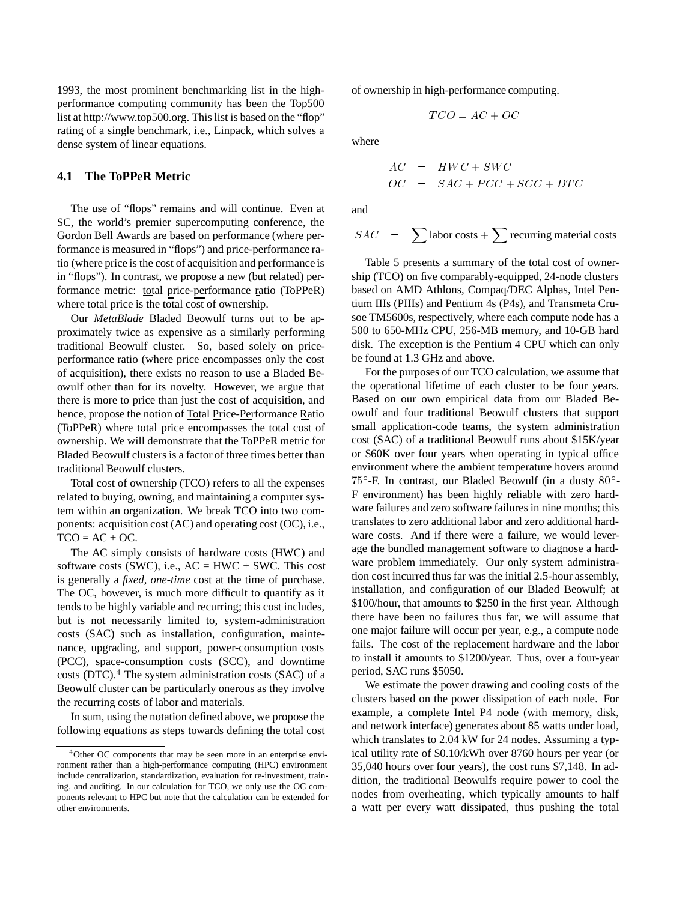1993, the most prominent benchmarking list in the highperformance computing community has been the Top500 list at http://www.top500.org. This list is based on the "flop" rating of a single benchmark, i.e., Linpack, which solves a dense system of linear equations.

## **4.1 The ToPPeR Metric**

The use of "flops" remains and will continue. Even at SC, the world's premier supercomputing conference, the Gordon Bell Awards are based on performance (where performance is measured in "flops") and price-performance ratio (where price is the cost of acquisition and performance is in "flops"). In contrast, we propose a new (but related) performance metric: total price-performance ratio (ToPPeR) where total price is the total cost of ownership.

Our *MetaBlade* Bladed Beowulf turns out to be approximately twice as expensive as a similarly performing traditional Beowulf cluster. So, based solely on priceperformance ratio (where price encompasses only the cost of acquisition), there exists no reason to use a Bladed Beowulf other than for its novelty. However, we argue that there is more to price than just the cost of acquisition, and hence, propose the notion of Total Price-Performance Ratio (ToPPeR) where total price encompasses the total cost of ownership. We will demonstrate that the ToPPeR metric for Bladed Beowulf clusters is a factor of three times better than traditional Beowulf clusters.

Total cost of ownership (TCO) refers to all the expenses related to buying, owning, and maintaining a computer system within an organization. We break TCO into two components: acquisition cost (AC) and operating cost (OC), i.e.,  $TCO = AC + OC$ .

The AC simply consists of hardware costs (HWC) and software costs (SWC), i.e.,  $AC = HWC + SWC$ . This cost is generally a *fixed*, *one-time* cost at the time of purchase. The OC, however, is much more difficult to quantify as it tends to be highly variable and recurring; this cost includes, but is not necessarily limited to, system-administration costs (SAC) such as installation, configuration, maintenance, upgrading, and support, power-consumption costs (PCC), space-consumption costs (SCC), and downtime costs (DTC). $4$  The system administration costs (SAC) of a Beowulf cluster can be particularly onerous as they involve the recurring costs of labor and materials.

In sum, using the notation defined above, we propose the following equations as steps towards defining the total cost of ownership in high-performance computing.

$$
TCO=AC+OC
$$

where

$$
AC = HWC + SWC
$$
  

$$
OC = SAC + PCC + SCC + DTC
$$

and

$$
SAC = \sum \text{labor costs} + \sum \text{recurring material costs}
$$

Table 5 presents a summary of the total cost of ownership (TCO) on five comparably-equipped, 24-node clusters based on AMD Athlons, Compaq/DEC Alphas, Intel Pentium IIIs (PIIIs) and Pentium 4s (P4s), and Transmeta Crusoe TM5600s, respectively, where each compute node has a 500 to 650-MHz CPU, 256-MB memory, and 10-GB hard disk. The exception is the Pentium 4 CPU which can only be found at 1.3 GHz and above.

For the purposes of our TCO calculation, we assume that the operational lifetime of each cluster to be four years. Based on our own empirical data from our Bladed Beowulf and four traditional Beowulf clusters that support small application-code teams, the system administration cost (SAC) of a traditional Beowulf runs about \$15K/year or \$60K over four years when operating in typical office environment where the ambient temperature hovers around  $75^{\circ}$ -F. In contrast, our Bladed Beowulf (in a dusty  $80^{\circ}$ -F environment) has been highly reliable with zero hardware failures and zero software failures in nine months; this translates to zero additional labor and zero additional hardware costs. And if there were a failure, we would leverage the bundled management software to diagnose a hardware problem immediately. Our only system administration cost incurred thus far was the initial 2.5-hour assembly, installation, and configuration of our Bladed Beowulf; at \$100/hour, that amounts to \$250 in the first year. Although there have been no failures thus far, we will assume that one major failure will occur per year, e.g., a compute node fails. The cost of the replacement hardware and the labor to install it amounts to \$1200/year. Thus, over a four-year period, SAC runs \$5050.

We estimate the power drawing and cooling costs of the clusters based on the power dissipation of each node. For example, a complete Intel P4 node (with memory, disk, and network interface) generates about 85 watts under load, which translates to 2.04 kW for 24 nodes. Assuming a typical utility rate of \$0.10/kWh over 8760 hours per year (or 35,040 hours over four years), the cost runs \$7,148. In addition, the traditional Beowulfs require power to cool the nodes from overheating, which typically amounts to half a watt per every watt dissipated, thus pushing the total

<sup>&</sup>lt;sup>4</sup>Other OC components that may be seen more in an enterprise environment rather than a high-performance computing (HPC) environment include centralization, standardization, evaluation for re-investment, training, and auditing. In our calculation for TCO, we only use the OC components relevant to HPC but note that the calculation can be extended for other environments.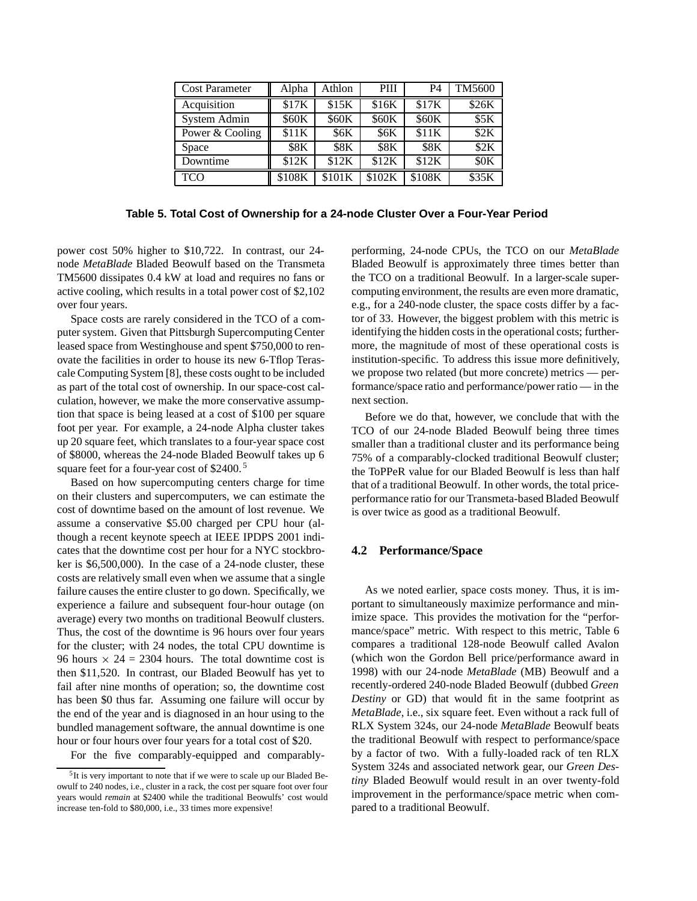| <b>Cost Parameter</b> | Alpha       | Athlon      | PIII        | P4          | TM5600             |
|-----------------------|-------------|-------------|-------------|-------------|--------------------|
| Acquisition           | \$17K       | \$15K       | \$16K       | \$17K       | \$26K              |
| System Admin          | \$60K       | \$60K       | \$60K       | \$60K       | \$5K               |
| Power & Cooling       | \$11K       | <b>\$6K</b> | <b>\$6K</b> | \$11K       | \$2K               |
| Space                 | <b>\$8K</b> | <b>\$8K</b> | <b>\$8K</b> | <b>\$8K</b> | \$2K               |
| Downtime              | \$12K       | \$12K       | \$12K       | \$12K       | $S$ <sub>O</sub> K |
| <b>TCO</b>            | \$108K      | \$101K      | \$102K      | \$108K      | \$35K              |

**Table 5. Total Cost of Ownership for a 24-node Cluster Over a Four-Year Period**

power cost 50% higher to \$10,722. In contrast, our 24 node *MetaBlade* Bladed Beowulf based on the Transmeta TM5600 dissipates 0.4 kW at load and requires no fans or active cooling, which results in a total power cost of \$2,102 over four years.

Space costs are rarely considered in the TCO of a computer system. Given that Pittsburgh Supercomputing Center leased space from Westinghouse and spent \$750,000 to renovate the facilities in order to house its new 6-Tflop Terascale Computing System [8], these costs ought to be included as part of the total cost of ownership. In our space-cost calculation, however, we make the more conservative assumption that space is being leased at a cost of \$100 per square foot per year. For example, a 24-node Alpha cluster takes up 20 square feet, which translates to a four-year space cost of \$8000, whereas the 24-node Bladed Beowulf takes up 6 square feet for a four-year cost of \$2400.<sup>5</sup>

Based on how supercomputing centers charge for time on their clusters and supercomputers, we can estimate the cost of downtime based on the amount of lost revenue. We assume a conservative \$5.00 charged per CPU hour (although a recent keynote speech at IEEE IPDPS 2001 indicates that the downtime cost per hour for a NYC stockbroker is \$6,500,000). In the case of a 24-node cluster, these costs are relatively small even when we assume that a single failure causes the entire cluster to go down. Specifically, we experience a failure and subsequent four-hour outage (on average) every two months on traditional Beowulf clusters. Thus, the cost of the downtime is 96 hours over four years for the cluster; with 24 nodes, the total CPU downtime is 96 hours  $\times$  24 = 2304 hours. The total downtime cost is then \$11,520. In contrast, our Bladed Beowulf has yet to fail after nine months of operation; so, the downtime cost has been \$0 thus far. Assuming one failure will occur by the end of the year and is diagnosed in an hour using to the bundled management software, the annual downtime is one hour or four hours over four years for a total cost of \$20.

For the five comparably-equipped and comparably-

performing, 24-node CPUs, the TCO on our *MetaBlade* Bladed Beowulf is approximately three times better than the TCO on a traditional Beowulf. In a larger-scale supercomputing environment, the results are even more dramatic, e.g., for a 240-node cluster, the space costs differ by a factor of 33. However, the biggest problem with this metric is identifying the hidden costs in the operational costs; furthermore, the magnitude of most of these operational costs is institution-specific. To address this issue more definitively, we propose two related (but more concrete) metrics — performance/space ratio and performance/power ratio — in the next section.

Before we do that, however, we conclude that with the TCO of our 24-node Bladed Beowulf being three times smaller than a traditional cluster and its performance being 75% of a comparably-clocked traditional Beowulf cluster; the ToPPeR value for our Bladed Beowulf is less than half that of a traditional Beowulf. In other words, the total priceperformance ratio for our Transmeta-based Bladed Beowulf is over twice as good as a traditional Beowulf.

### **4.2 Performance/Space**

As we noted earlier, space costs money. Thus, it is important to simultaneously maximize performance and minimize space. This provides the motivation for the "performance/space" metric. With respect to this metric, Table 6 compares a traditional 128-node Beowulf called Avalon (which won the Gordon Bell price/performance award in 1998) with our 24-node *MetaBlade* (MB) Beowulf and a recently-ordered 240-node Bladed Beowulf (dubbed *Green Destiny* or GD) that would fit in the same footprint as *MetaBlade*, i.e., six square feet. Even without a rack full of RLX System 324s, our 24-node *MetaBlade* Beowulf beats the traditional Beowulf with respect to performance/space by a factor of two. With a fully-loaded rack of ten RLX System 324s and associated network gear, our *Green Destiny* Bladed Beowulf would result in an over twenty-fold improvement in the performance/space metric when compared to a traditional Beowulf.

<sup>&</sup>lt;sup>5</sup>It is very important to note that if we were to scale up our Bladed Beowulf to 240 nodes, i.e., cluster in a rack, the cost per square foot over four years would *remain* at \$2400 while the traditional Beowulfs' cost would increase ten-fold to \$80,000, i.e., 33 times more expensive!